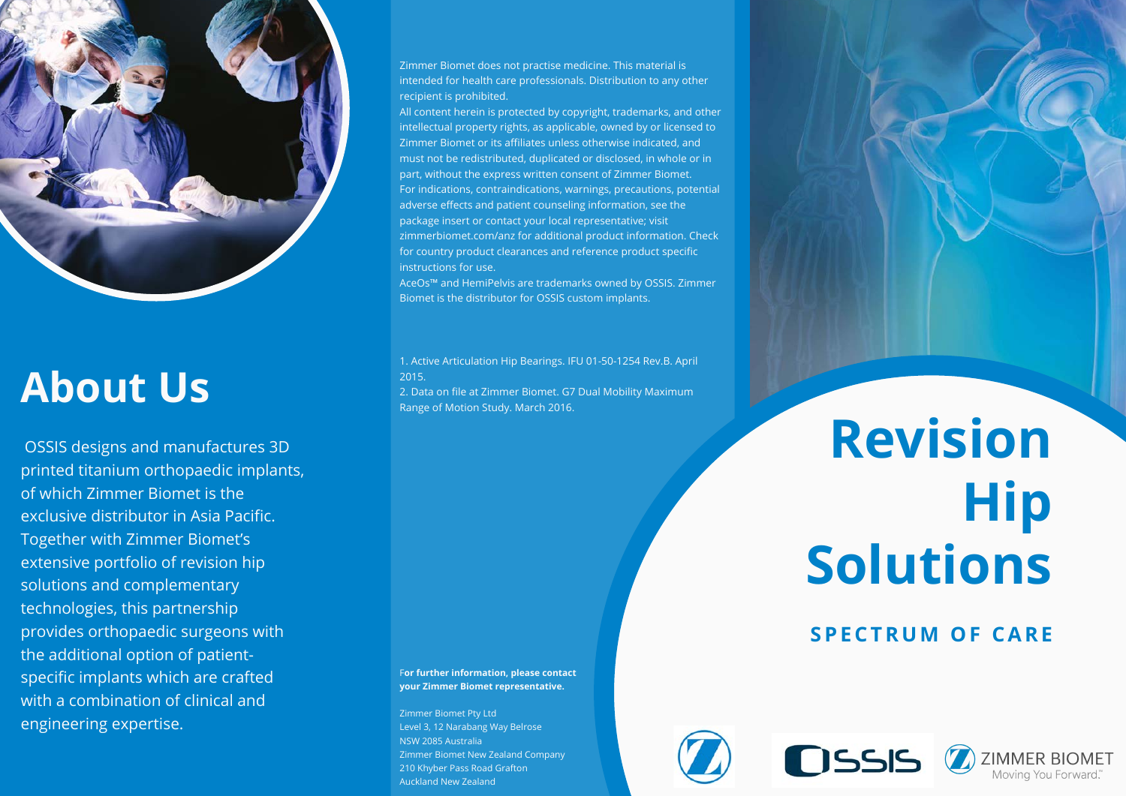

# **About Us**

OSSIS designs and manufactures 3D printed titanium orthopaedic implants, of which Zimmer Biomet is the exclusive distributor in Asia Pacific. Together with Zimmer Biomet's extensive portfolio of revision hip solutions and complementary technologies, this partnership provides orthopaedic surgeons with the additional option of patientspecific implants which are crafted with a combination of clinical and engineering expertise.

Zimmer Biomet does not practise medicine. This material is intended for health care professionals. Distribution to any other recipient is prohibited.

All content herein is protected by copyright, trademarks, and other intellectual property rights, as applicable, owned by or licensed to Zimmer Biomet or its affiliates unless otherwise indicated, and must not be redistributed, duplicated or disclosed, in whole or in part, without the express written consent of Zimmer Biomet. For indications, contraindications, warnings, precautions, potential adverse effects and patient counseling information, see the package insert or contact your local representative; visit zimmerbiomet.com/anz for additional product information. Check for country product clearances and reference product specific instructions for use.

AceOs™ and HemiPelvis are trademarks owned by OSSIS. Zimmer Biomet is the distributor for OSSIS custom implants.

1. Active Articulation Hip Bearings. IFU 01-50-1254 Rev.B. April 2015.

2. Data on file at Zimmer Biomet. G7 Dual Mobility Maximum Range of Motion Study. March 2016.

F**or further information, please contact your Zimmer Biomet representative.**

Zimmer Biomet Pty Ltd Level 3, 12 Narabang Way Belrose NSW 2085 Australia Zimmer Biomet New Zealand Company 210 Khyber Pass Road Grafton Auckland New Zealand

# **Revision Hip Solutions**

# **SPECTRUM OF CARE**

**ZIMMER BIOMET** Moving You Forward."